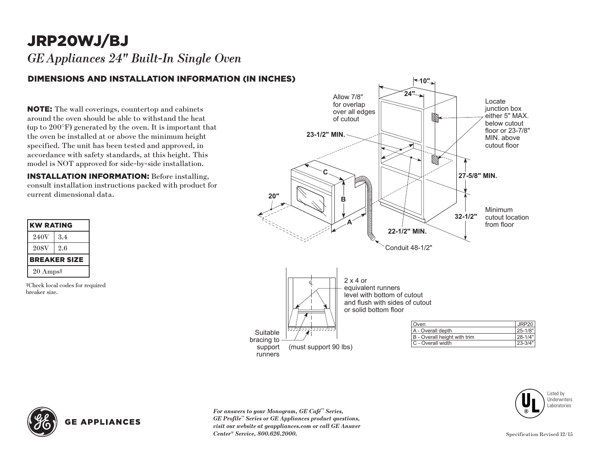## JRP20WJ/BJ

*GEAppliances 24" Built-In Single Oven* 

#### DIMENSIONS AND INSTALLATION INFORMATION (IN INCHES)

NOTE: The wall coverings, countertop and cabinets around the oven should be able to withstand the heat (up to 200°F) generated by the oven. It is important that the oven be installed at or above the minimum height specified. The unit has been tested and approved, in accordance with safety standards, at this height. This model is NOT approved for side-by-side installation.

INSTALLATION INFORMATION: Before installing, consult installation instructions packed with product for current dimensional data.

| <b>KW RATING</b>    |     |
|---------------------|-----|
| 240V                | 3.4 |
| 208V                | 2.6 |
| <b>BREAKER SIZE</b> |     |
| $20 \text{ Amps}^*$ |     |
|                     |     |

†Check local codes for required breaker size.







*For answers to your Monogram, GE Café™ Series, GE Profile™ Series or GE Appliances product questions, visit our website at geappliances.com or call GE Answer Center® Service, 800.626.2000.*